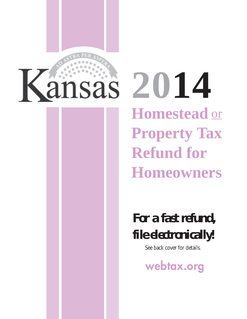

**2014 Homestead**  or **Property Tax Refund for Homeowners** 

> *For a fast refund, file electronically!*

> > See back cover for details.

**webtax.org**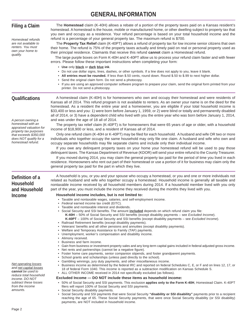## **GENERAL INFORMATION**

| <b>Filing a Claim</b><br>Homestead refunds<br>are not available to<br>renters. You must<br>own your home to<br>qualify.                                                                      | The Homestead claim (K-40H) allows a rebate of a portion of the property taxes paid on a Kansas resident's<br>homestead. A homestead is the house, mobile or manufactured home, or other dwelling subject to property tax that<br>you own and occupy as a residence. Your refund percentage is based on your total household income and the<br>refund is a percentage of your general property tax. The maximum refund is \$700.<br>The Property Tax Relief claim (K-40PT) allows a refund of property tax for low income senior citizens that own<br>their home. The refund is 75% of the property taxes actually and timely paid on real or personal property used as<br>their principal residence. Claimants that receive this refund cannot claim a Homestead refund.<br>The large purple boxes on Form K-40H and K-40PT allow us to process your refund claim faster and with fewer<br>errors. Please follow these important instructions when completing your form:<br>• Use only black or dark blue ink.<br>• Do not use dollar signs, lines, dashes, or other symbols. If a line does not apply to you, leave it blank.<br>• All entries must be rounded. If less than \$.50 cents, round down. Round \$.50 to \$.99 to next higher dollar.<br>• Send the original claim form. Do not send a photocopy.<br>• If you are using an approved computer software program to prepare your claim, send the original form printed from your<br>printer. Do not send a photocopy.                                                                                                                                                                                                                                                                                                               |  |  |  |
|----------------------------------------------------------------------------------------------------------------------------------------------------------------------------------------------|------------------------------------------------------------------------------------------------------------------------------------------------------------------------------------------------------------------------------------------------------------------------------------------------------------------------------------------------------------------------------------------------------------------------------------------------------------------------------------------------------------------------------------------------------------------------------------------------------------------------------------------------------------------------------------------------------------------------------------------------------------------------------------------------------------------------------------------------------------------------------------------------------------------------------------------------------------------------------------------------------------------------------------------------------------------------------------------------------------------------------------------------------------------------------------------------------------------------------------------------------------------------------------------------------------------------------------------------------------------------------------------------------------------------------------------------------------------------------------------------------------------------------------------------------------------------------------------------------------------------------------------------------------------------------------------------------------------------------------------------------------------------------------------------|--|--|--|
| <b>Qualifications</b><br>A person owning a<br>homestead with an<br>appraised valuation for<br>property tax purposes<br>that exceeds \$350,000<br>does NOT qualify for a<br>homestead refund. | A homestead claim (K-40H) is for homeowners who own and occupy their homestead and were residents of<br>Kansas all of 2014. This refund program is not available to renters. As an owner your name is on the deed for the<br>homestead. As a resident the entire year and a homeowner, you are eligible if your total household income is<br>\$33,400 or less and you: 1) were born before January 1, 1959, or 2) were blind or totally and permanently disabled<br>all of 2014, or 3) have a dependent child who lived with you the entire year who was born before January 1, 2014,<br>and was under the age of 18 all of 2014.<br>The property tax relief claim (K-40PT) is for homeowners that were 65 years of age or older, with a household<br>income of \$18,900 or less, and a resident of Kansas all of 2014.<br>Only one refund claim (K-40H or K-40PT) may be filed for each household. A husband and wife OR two or more<br>individuals who together occupy the same household may only file one claim. A husband and wife who own and<br>occupy separate households may file separate claims and include only their individual income.<br>If you owe any delinquent property taxes on your home your homestead refund will be used to pay those<br>delinquent taxes. The Kansas Department of Revenue (KDOR) will send your entire refund to the County Treasurer.<br>If you moved during 2014, you may claim the general property tax paid for the period of time you lived in each<br>residence. Homeowners who rent out part of their homestead or use a portion of it for business may claim only the<br>general property tax paid for the part in which they live.                                                                                                          |  |  |  |
| Definition of a<br>Household<br>and Household<br><b>Income</b><br><b>Net operating losses</b>                                                                                                | A household is you, or you and your spouse who occupy a homestead, or you and one or more individuals not<br>related as husband and wife who together occupy a homestead. Household income is generally all taxable and<br>nontaxable income received by all household members during 2014. If a household member lived with you only<br>part of the year, you must include the income they received during the months they lived with you.<br>Household income includes, but is not limited to:<br>• Taxable and nontaxable wages, salaries, and self-employment income.<br>• Federal earned income tax credit (EITC).<br>Taxable and nontaxable interest and dividends.<br>. Social Security and SSI benefits. The amount included depends on which refund claim you file:<br>K-40H - 50% of Social Security and SSI benefits (except disability payments – see Excluded Income).<br>K-40PT - 100% of Social Security and SSI benefits (except disability payments - see Excluded Income).<br>• Railroad Retirement benefits (except disability payments).<br>• Veterans' benefits and all other pensions and annuities (except disability payments).<br>• Welfare and Temporary Assistance to Family (TAF) payments.<br>• Unemployment, worker's compensation and disability income.<br>• Alimony received.<br>• Business and farm income.<br>• Gain from business or investment property sales and any long-term capital gains included in federal adjusted gross income.<br>• Net rents and partnerships (cannot be a negative figure).<br>• Foster home care payments, senior companion stipends, and foster grandparent payments.<br>• School grants and scholarships (unless paid directly to the school).<br>• Gambling winnings, jury duty payments, and other miscellaneous income. |  |  |  |
| and net capital losses<br>cannot be used to<br>reduce total household<br>income. DO NOT<br>subtract these losses<br>from the income<br>amounts.                                              | • Business income as determined by the federal IRC and reported on federal Schedules C, E, or F and on lines 12, 17, or<br>18 of federal Form 1040. This income is reported as a subtraction modification on Kansas Schedule S.<br>• ALL OTHER INCOME received in 2014 not specifically excluded (as follows).<br>Excluded Income - DO NOT include these items as household income:<br>• 50% of Social Security and SSI payments. This exclusion applies only to the Form K-40H, Homestead Claim. K-40PT<br>filers will report 100% of Social Security and SSI payments.<br>• Social Security disability payments.<br>• Social Security and SSI payments that were Social Security "disability or SSI disability" payments prior to a recipient<br>reaching the age of 65. These Social Security payments, that were once Social Security disability (or SSI disability)<br>payments, are NOT included in household income.                                                                                                                                                                                                                                                                                                                                                                                                                                                                                                                                                                                                                                                                                                                                                                                                                                                                    |  |  |  |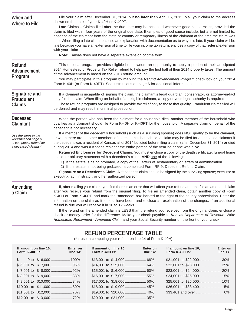| When and<br><b>Where to File</b>                                                                                              | File your claim after December 31, 2014, but no later than April 15, 2015. Mail your claim to the address<br>shown on the back of your K-40H or K-40PT.<br>Late Claims - Claims filed after the due date may be accepted whenever good cause exists, provided the<br>claim is filed within four years of the original due date. Examples of good cause include, but are not limited to,<br>absence of the claimant from the state or country or temporary illness of the claimant at the time the claim was<br>due. When filing a late claim, enclose an explanation with documentation as to why it is late. If your claim will be<br>late because you have an extension of time to file your income tax return, enclose a copy of that federal extension<br>with your claim.<br>Note: Kansas does not have a separate extension of time form.                                                                                                                                                                                                                                                                                                                                                                                                                                     |
|-------------------------------------------------------------------------------------------------------------------------------|-------------------------------------------------------------------------------------------------------------------------------------------------------------------------------------------------------------------------------------------------------------------------------------------------------------------------------------------------------------------------------------------------------------------------------------------------------------------------------------------------------------------------------------------------------------------------------------------------------------------------------------------------------------------------------------------------------------------------------------------------------------------------------------------------------------------------------------------------------------------------------------------------------------------------------------------------------------------------------------------------------------------------------------------------------------------------------------------------------------------------------------------------------------------------------------------------------------------------------------------------------------------------------------|
| <b>Refund</b><br>Advancement<br>Program                                                                                       | This optional program provides eligible homeowners an opportunity to apply a portion of their anticipated<br>2014 Homestead or Property Tax Relief refund to help pay the first half of their 2014 property taxes. The amount<br>of the advancement is based on the 2013 refund amount.<br>You may participate in this program by marking the Refund Advancement Program check box on your 2014<br>Form K-40H (or Form K-40PT). See instructions on page 6 for additional information.                                                                                                                                                                                                                                                                                                                                                                                                                                                                                                                                                                                                                                                                                                                                                                                              |
| <b>Signature and</b><br><b>Fraudulent</b><br><b>Claims</b>                                                                    | If a claimant is incapable of signing the claim, the claimant's legal guardian, conservator, or attorney-in-fact<br>may file the claim. When filing on behalf of an eligible claimant, a copy of your legal authority is required.<br>These refund programs are designed to provide tax relief only to those that qualify. Fraudulent claims filed will<br>be denied and may result in criminal prosecution.                                                                                                                                                                                                                                                                                                                                                                                                                                                                                                                                                                                                                                                                                                                                                                                                                                                                        |
| <b>Deceased</b><br>Claimant<br>Use the steps in the<br>worksheet on page 6<br>to compute a refund for<br>a deceased claimant. | When the person who has been the claimant for a household dies, another member of the household who<br>qualifies as a claimant should file Form K-40H or K-40PT for the household. A separate claim on behalf of the<br>decedent is not necessary.<br>If a member of the decedent's household (such as a surviving spouse) does NOT qualify to be the claimant,<br>or when there are no other members of a decedent's household, a claim may be filed for a deceased claimant if<br>the decedent was a resident of Kansas all of 2014 but died before filing a claim (after December 31, 2014) or died<br>during 2014 and was a Kansas resident the entire portion of the year he or she was alive.<br>Required Enclosures for Decedent Claims. You must enclose a copy of the death certificate, funeral home<br>notice, or obituary statement with a decedent's claim, <b>AND</b> one of the following:<br>1) If the estate is being probated, a copy of the Letters of Testamentary or letters of administration.<br>2) If the estate is not being probated, a completed Form RF-9, Decedent Refund Claim.<br>Signature on a Decedent's Claim. A decedent's claim should be signed by the surviving spouse; executor or<br>executrix; administrator; or other authorized person. |
| Amending<br>a Claim                                                                                                           | If, after mailing your claim, you find there is an error that will affect your refund amount, file an amended claim<br>after you receive your refund from the original filing. To file an amended claim, obtain another copy of Form<br>K-40H or Form K-40PT, and mark the "amended" box located to the right of the county abbreviation. Enter the<br>information on the claim as it should have been, and enclose an explanation of the changes. If an additional<br>refund is due you will receive it in 10 to 12 weeks.<br>If the refund on the amended claim is LESS than the refund you received from the original claim, enclose a<br>check or money order for the difference. Make your check payable to Kansas Department of Revenue. Write<br>Homestead Repayment - Amended Claim and your Social Security number on the front of your check.                                                                                                                                                                                                                                                                                                                                                                                                                             |

## **REFUND PERCENTAGE TABLE**

(for use in computing your refund on line 14 of Form K-40H)

| If amount on line 10.<br>Form K-40H is: | Enter on<br>line 14: | If amount on line 10.<br>Form K-40H is: | Enter on<br>line $14$ : | If amount on line 10.<br>Form $K-40H$ is: | Enter on<br>line $14$ : |
|-----------------------------------------|----------------------|-----------------------------------------|-------------------------|-------------------------------------------|-------------------------|
|                                         |                      |                                         |                         |                                           |                         |
|                                         |                      |                                         |                         |                                           |                         |
|                                         |                      |                                         |                         |                                           |                         |
| $$8,001$ to $$9,000$ 88%                |                      |                                         |                         |                                           |                         |
| $$9,001$ to $$10,000$ 84%               |                      |                                         |                         |                                           |                         |
|                                         |                      |                                         |                         |                                           |                         |
|                                         |                      |                                         |                         |                                           |                         |
|                                         |                      |                                         |                         |                                           |                         |
|                                         |                      |                                         |                         |                                           |                         |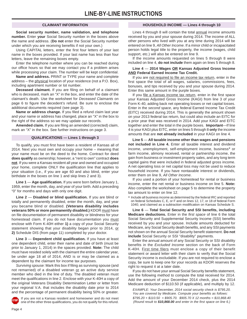#### **CLAIMANT INFORMATION**

**Social security number, name validation, and telephone number.** Enter **your** Social Security number in the boxes above the name and address. (**Do not** enter the Social Security number under which you are receiving benefits if not your own.)

Using CAPITAL letters, enter the first four letters of your last name in the boxes provided. If your last name has less than four letters, leave the remaining boxes empty.

Enter the telephone number where you can be reached during our office hours so that we may contact you if a problem arises while processing your claim. The number will be kept confidential.

**Name and address.** PRINT or TYPE your name and complete address – the physical location of your residence (not a P.O. Box), including apartment number or lot number.

**Deceased claimant.** If you are filing on behalf of a claimant who is deceased, mark an "X" in the box, and enter the date of the claimant's death. Use the worksheet for *Deceased Claimants* on page 6 to figure the decedent's refund. Be sure to enclose the additional documents required (see page 3).

**Name or address change.** If you filed a refund claim last year and your name or address has changed, place an "X" in the box to the right of the address so we may update our records.

**Amended claim.** If you are filing an amended (corrected) claim, mark an "X" in the box. See further instructions on page 3.

#### **QUALIFICATIONS — Lines 1 through 3**

To qualify, you must first have been a resident of Kansas all of 2014. Next you must own and occupy your home – meaning that your name must be on the deed to the home. Contract for deed **does qualify** as ownership; however, a "rent to own" contract **does not**. If you were a Kansas resident all year and owned and occupied your home, complete ONLY the qualification line that applies to your situation (i.e., if you are age 60 and also blind, enter your birthdate in the boxes on line 1 and skip lines 2 and 3).

**Line 1** — **Age qualification.** If you were born before January 1, 1959, enter the month, day, and year of your birth. Add a preceding "0" for months and days with only one digit.

**Line 2** — **Disabled or blind qualification.** If you are blind or totally and permanently disabled, enter the month, day, and year you became blind or disabled. **(Veterans disability includes veterans 50% or more permanently disabled.)** KDOR must have on file documentation of permanent disability or blindness for your homestead claim. If you do not have documentation you must enclose with Form K-40H either **1)** a copy of your Social Security statement showing that your disability began prior to 2014, or **2)** Schedule DIS (from page 11) completed by your doctor.

**Line 3** — **Dependent child qualification.** If you have at least one dependent child, enter their name and date of birth (must be prior to January 1, 2014) in the spaces provided. **Note:** The child must have resided solely with the claimant the entire calendar year, be under age 18 all of 2014, AND is or may be claimed as a dependent by the claimant for income tax purposes.

*Surviving spouse:* Mark this box if filing as surviving spouse (and not remarried) of a disabled veteran or an active duty service member who died in the line of duty. The disabled veteran must meet the qualifications in line 2. Enclose with your K-40H a copy of the original Veterans Disability Determination Letter or letter from your regional V.A. that includes the disability date prior to 2014 and the percentage of permanent disability being 50% or greater.

If you are not a Kansas resident and homeowner and do not meet one of the other three qualifications, you do not qualify for this refund.

#### **HOUSEHOLD INCOME — Lines 4 through 10**

Lines 4 through 8 will contain the total annual income amounts received by you and your spouse during 2014. The income of ALL other persons who lived with you at any time during 2014 will be entered on line 9, *All Other Income*. If a minor child or incapacitated person holds legal title to the property, the income (wages, child support, etc.) will also be entered on line 9.

If the income amounts requested on lines 5 through 8 were included on line 4, **do not include** them again on lines 5 through 8.

#### **Line 4** — **2014 Wages OR Kansas Adjusted Gross Income AND Federal Earned Income Tax Credit.**

If you are not required to file an income tax return, enter in the first space the total of all wages, salaries, commissions, fees, bonuses, and tips received by you and your spouse during 2014. Enter this same amount in the purple boxes.

If you file a Kansas income tax return, enter in the first space your Kansas Adjusted Gross Income (KAGI) from line 3 of your Form K-40, adding back net operating losses or net capital losses. Enter in the *second space*, any federal Earned Income Tax Credit (EITC) received during 2014. This is generally the amount shown on your 2013 federal tax return, but could also include an EITC for a prior year that was received in 2014. Add your KAGI and EITC together and enter the total in the purple boxes. **Important**—If line 4 is your KAGI plus EITC, enter on lines 5 through 8 **only** the income amounts that are **not already included** in your KAGI on line 4.

**Line 5** — **All taxable income other than wages and pensions not included in Line 4.** Enter all taxable interest and dividend income, unemployment, self-employment income, business\* or farm income, alimony received, rental or partnership income, the gain from business or investment property sales, and any long term capital gains that were included in federal adjusted gross income. A net operating loss or net capital loss may not be used to reduce household income. If you have nontaxable interest or dividends, enter them on line 9, *All Other Income*.

If you used a portion of your homestead for rental or business income, enter the net rental or business income on line 5. **Note:**  Also complete the worksheet on page 5 to determine the property tax amount to enter on line 12.

\* Include all business income as determined by the federal IRC and reported on federal Schedules C, E, or F and on lines 12, 17, or 18 of federal Form 1040; and claimed as a subtraction modification on Kansas Schedule S.

**Line 6** — **Total Social Security and SSI benefits, including Medicare deductions.** Enter in the *first space* of line 6 the total Social Security and Supplemental Security Income (SSI) benefits received by you and your spouse. Include amounts deducted for Medicare, any Social Security death benefits, and any SSI payments not shown on the annual Social Security benefit statement. **Do not include** Social Security or SSI "disability" payments.

Enter the annual amount of any Social Security or SSI disability benefits in the *Excluded Income* section on the back of Form K-40H. First time filers must enclose a copy of their benefit statement or award letter with their claim to verify that the Social Security income is excludable. If you are not required to enclose a copy, be sure to keep one for your records as KDOR reserves the right to request it at a later date.

If you do not have your annual Social Security benefits statement, use the following method to compute the total received for 2014. Add the amount of your December 2014 check, plus the 2014 Medicare deduction of \$110.50 (if applicable), and multiply by 12.

*EXAMPLE: Your December, 2014 social security check is \$795.20. You are covered by Medicare. Compute your benefits as follows: \$795.20 + \$110.50 = \$905.70. \$905.70 X 12 months = \$10,868.40 (Round result to \$10,868.00 and enter in the first space on line 6.)*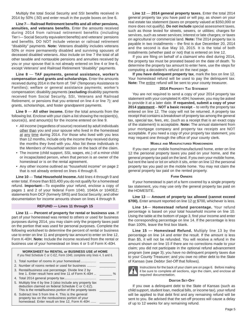Multiply the total Social Security and SSI benefits received in 2014 by 50% (.50) and enter result in the purple boxes on line 6.

**Line 7**— **Railroad Retirement benefits and all other pensions, annuities, and veterans benefits.** Enter the amounts received during 2014 from railroad retirement benefits (including Tier I— Social Security equivalent benefits) and veterans' pensions and benefits. DO NOT include veteran or railroad retirement "disability" payments. **Note:** Veterans disability includes veterans 50% or more permanently disabled and surviving spouses of deceased disabled veterans. Also include on line 7 the total of all other taxable and nontaxable pensions and annuities received by you or your spouse that is not already entered on line 4 or line 6, except Veterans' and Railroad Retirement "disability" payments.

**Line 8** — **TAF payments, general assistance, worker's compensation and grants and scholarships.** Enter the amounts received during 2014 in the form of: TAF (Temporary Assistance to Families); welfare or general assistance payments; worker's compensation; disability payments (**excluding** disability payments received from Social Security, SSI, Veterans and Railroad Retirement, or pensions that you entered on line 4 or line 7); and grants, scholarships, and foster grandparent payments.

**Line 9** — **All other income.** Enter the total amounts from the following list. Enclose with your claim a list showing the recipient(s), source(s), and amount(s) for the income entered on line 9.

- All income (regardless of source) received by adult individuals other than you and your spouse who lived in the homestead at any time during 2014. For those who lived with you less than 12 months, include only the income they received during the months they lived with you. Also list these individuals in the *Members of Household* section on the back of the claim.
- The income (child support, SSI, wages, etc.) of a minor child or incapacitated person, when that person is an owner of the homestead or is on the rental agreement.
- Any other income outlined as "household income" on page 2 that is not already entered on lines 4 through 8.

**Line 10** — **Total Household Income.** Add lines 4 through 9 and enter total. If more than \$33,400 you do not qualify for a homestead refund. **Important**––To expedite your refund, enclose a copy of pages 1 and 2 of your federal Form 1040, 1040A or 1040EZ; statements from DCF (formerly SRS) and Social Security; and other documentation for income amounts shown on lines 4 through 9.

#### **REFUND — Lines 11 through 15**

**Line 11** — **Percent of property for rental or business use.** If part of your homestead was rented to others or used for business purposes during 2014, you may claim only the property taxes paid on the portion that was used for personal purposes. Complete the following worksheet to determine the percent of rental or business use to enter on line 11 and property tax amount to enter on line 12, Form K-40H. **Note:** Include the income received from the rental or business use of your homestead on lines 4 or 5 of Form K-40H.

| <b>WORKSHEET for RENTAL or BUSINESS USE of HOME</b><br>If you filed Schedule C or C-EZ, Form 1040, complete only lines 4, 5 and 6.                                            |      |
|-------------------------------------------------------------------------------------------------------------------------------------------------------------------------------|------|
| 2. Number of rooms rented or used for business                                                                                                                                |      |
| 3. Rental/business use percentage. Divide line 2 by<br>line 1. Enter result here and line 11 of Form K-40H                                                                    | $\%$ |
|                                                                                                                                                                               |      |
| 5. Multiply line 4 by line 3 (also include any property tax<br>deduction claimed on federal Schedule C or C-EZ).<br>This is the rental/business portion of the property taxes |      |
| 6. Subtract line 5 from line 4. This is the general<br>property tax on the nonbusiness portion of your<br>homestead. Enter result on line 12, Form K-40H                      |      |

**Line 12** — **2014 general property taxes.** Enter the total 2014 general property tax you have paid or will pay, as shown on your real estate tax statement (taxes on property valued at \$350,000 or more does not qualify). **Do not include** special assessment taxes, such as those levied for streets, sewers, or utilities; charges for services, such as sewer services; interest or late charges; or taxes on agricultural or commercial land. **Note:** The 2014 property tax is payable in two installments – the first is due December 20, 2014 and the second is due May 10, 2015. It is the total of both installments (whether paid or not) that is entered on line 12.

If you are filing on behalf of a claimant who died during 2014, the property tax must be prorated based on the date of death. To determine the property tax amount to enter here, use the steps for computing a decedent's refund on the next page.

**If you have delinquent property tax**, mark the box on line 12. Your homestead refund will be used to pay the delinquent tax. **Note:** The entire refund will be sent to your county treasurer.

#### **2014 PROPERTY TAX STATEMENT**

You are not required to send a copy of your 2014 property tax statement with your completed K-40H; however, you may be asked to provide it at a later date. **If requested, submit a copy of your 2014 statement** – **NOT a basic receipt** – to verify the property tax entered on line 12. The copy will not be returned. A property tax receipt that contains a *breakdown* of property tax among the general tax, special tax, fees, etc. (such as a receipt that is an exact copy of the statement) is acceptable. **Note:** The annual statement from your mortgage company and property tax *receipts* are NOT acceptable. If you need a copy of your property tax statement, you may request one through the office of your county clerk.

#### **MOBILE AND MANUFACTURED HOMEOWNERS**

If you own your mobile home/manufactured home, enter on line 12 the personal property taxes you paid on your home, and the general property tax paid on the land. If you own your mobile home, but rent the land or lot on which it sits, enter on line 12 the personal property tax you paid on the mobile home. You may not claim the general property tax paid on the rented property.

#### **FARM OWNERS**

If your homestead is part of a farm covered by a single property tax statement, you may use only the general property tax paid on the HOMESITE.

**Line 13** — **Amount of property tax allowed (cannot exceed**  \$700). Enter amount reported on line 12 or \$700, whichever is less.

**Line 14**— **Homestead refund percentage.** Your refund percentage is based on your total household income on line 10. Using the table at the bottom of page 3, find your income and enter the corresponding percentage on line 14. If the percentage is less than 100%, leave the first box blank.

**Line 15 — Homestead Refund.** Multiply line 13 by the percentage on line 14 and enter the result. If the amount is less than \$5, it will not be refunded. You will receive a refund in the amount shown on line 15 if there are no corrections made to your claim; you did not participate in the optional refund advancement program (see page 3); you have no delinquent property taxes due to your County Treasurer; and you owe no other debt to the State of Kansas (see *Debtor Set-Off* that follows).



Instructions for the back of your claim are on page 6. Before mailing it be sure to complete all sections, sign the claim, and enclose all required documentation.

#### **DEBTOR SET-OFF**

If you owe a delinquent debt to the State of Kansas (such as child support, student loan, medical bills, or income tax), your refund will be applied to that debt first and any remaining refund will be sent to you. Be advised that the set-off process will cause a delay of up to 12 weeks for any remaining refund.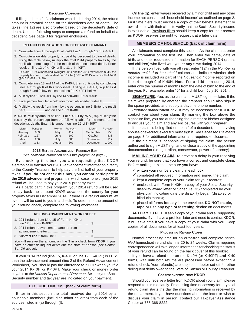#### **DECEASED CLAIMANTS**

If filing on behalf of a claimant who died during 2014, the refund amount is prorated based on the decedent's date of death. The taxes (line 12) are also prorated based on the decedent's date of death. Use the following steps to compute a refund on behalf of a decedent. See page 3 for required enclosures.

#### **REFUND COMPUTATION FOR DECEASED CLAIMANT**

- 1. Complete lines 1 through 11 of K-40H or 1 through 10 of K-40PT.
- 2. Compute allowable property tax paid by decedent to date of death. Using the table below, multiply the total 2014 property taxes by the applicable percentage for the month of the decedent's death. Enter result on line 12 of K-40H or line 11 of K-40PT.

EXAMPLE: If claimant died in August 2014 and the 2014 taxes were \$645, the property tax paid to date of death is 8/12ths (.667) of \$645 for a result of \$430  $($645 \times .667 = $430).$ 

- 3. Complete lines 13 and 14 of the K-40H; then continue by completing lines 4 through 6 of this worksheet. If filing a K-40PT, skip lines 4 though 6 and follow the instructions for K-40PT below.
- 4. Multiply line 13 of K-40H by line 14 of K-40H. Enter result
- 5. Enter percent from table below for month of decedent's death
- 6. Multiply the result from line 4 by the percent in line 5. Enter the result here \_\_\_\_\_\_\_\_\_\_\_\_\_\_\_ and on line 15 of K-40H.

**K-40PT:** Multiply amount on line 11 of K-40PT by 75% (.75). Multiply the result by the percentage from the following table for the month of the decedent's death. Enter this amount on line 12 of K-40PT.

| <b>MONTH</b> | PERCENT | <b>MONTH</b> | PERCENT | <b>MONTH</b> | PERCENT |
|--------------|---------|--------------|---------|--------------|---------|
| January      | .083    | May          | .417    | September    | .750    |
| February     | .167    | June         | .500    | October      | .833    |
| March        | .250    | July         | .583    | November     | .917    |
| April        | .333    | August       | .667    | December     | 1.000   |

#### **2015 REFUND ADVANCEMENT PROGRAM BOX**

*(See additional information about this program on page 3)* 

By checking this box, you are requesting that KDOR electronically transfer your 2015 advancement information directly to the County Treasurer to help pay the first half of your property taxes. If you **do not** check this box, you cannot participate in **the 2015 advancement program**, in which case none of your 2015 refund will be used to pay your 2015 property taxes.

As a participant in this program, your 2014 refund will be used to pay back the amount KDOR advanced the county for your property taxes in December 2014. If there is a refund amount left over, it will be sent to you in a check. To determine the amount of your refund check, complete the following worksheet.

| <b>REFUND ADVANCEMENT WORKSHEET</b>                               |
|-------------------------------------------------------------------|
| 1. 2014 refund from Line 15 of Form K-40H or                      |
| 2. 2014 refund advancement amount from                            |
|                                                                   |
| You will receive the amount on line 3 in a check from KDOR if you |

You will receive the amount on line 3 in a check from KDOR if you have no other delinquent debts due the state of Kansas (see *Debtor Set-Off* above).

If your 2014 refund (line 15, K-40H or line 12, K-40PT) is LESS than the advancement amount (line 2 of the Refund Advancement Worksheet), you should pay the difference to KDOR when you file your 2014 K-40H or K-40PT. Make your check or money order payable to the *Kansas Department of Revenue*. Be sure your Social Security number and tax year are indicated on your payment.

#### **EXCLUDED INCOME (back of claim form)**

Enter in this section the total received during 2014 by all household members (including minor children) from each of the sources listed in (a) through (f).

On line (g), enter wages received by a minor child and any other income not considered "household income" as outlined on page 2. First time filers must enclose a copy of their benefit statement or award letter with their claim to verify that the Social Security income is excludable. Previous filers should keep a copy for their records as KDOR reserves the right to request it at a later date.

#### **MEMBERS OF HOUSEHOLD (back of claim form)**

All claimants must complete this section. As the claimant, enter your information on the first line. Then enter the name, date of birth, and other requested information for EACH PERSON (adults and children) who lived with you **at any time** during 2014.

If the person lived with you all year, enter "12" in the *Number of months resided in household* column and indicate whether their income is included as part of the *Household Income* reported on lines 4 through 9 of K-40H. **Note:** For a child born during 2014, enter only the number of months from the date of birth to the end of the year. For example, enter "6" for a child born July 10, 2014.

**SIGNATURE.** You, as the claimant, MUST sign the claim. If the claim was prepared by another, the preparer should also sign in the space provided, and supply a daytime phone number.

*Preparer authorization box:* It may be necessary for KDOR to contact you about your claim. By marking the box above the signature line, you are authorizing the director or his/her designee to discuss your claim and any enclosures with your preparer.

If the claim is being filed on behalf of a decedent, the surviving spouse or executor/executrix must sign it. See *Deceased Claimants*  on page 3 for additional information and required enclosures.

If the claimant is incapable of signing the claim, the person authorized to sign MUST sign and enclose a copy of the appointing documentation (i.e., guardian, conservator, power of attorney).

**MAILING YOUR CLAIM.** To prevent a delay in your receiving your refund, be sure that you have a correct and complete claim. Before mailing it, please be sure you have:

- $\checkmark$  written your numbers clearly in each box;
- $\checkmark$  completed all required information and signed the claim;
- $\checkmark$  kept a complete copy of your claim for your records;
- $\checkmark$  enclosed, with Form K-40H, a copy of your Social Security disability award letter or Schedule DIS completed by your physician indicating date the disability began (disabled or blind claimants);
- √ placed all forms **loosely** in the envelope. DO NOT staple, **tape or use any type of fastening device** on documents.

**AFTER YOU FILE.** Keep a copy of your claim and all supporting documents. If you have a problem later and need to contact KDOR, it will save time if you have a copy of your claim with you. Keep copies of all documents for at least four years.

#### **PROCESSING REFUND CLAIMS**

Normal processing time for an error-free and complete *paperfiled* homestead refund claim is 20 to 24 weeks. Claims requiring correspondence will take longer. Information for checking the status of your refund can be found on the back cover of this booklet.

If you have a refund due on the K-40H (or K-40PT) **and** K-40 forms, wait until both returns are processed before expecting a refund check. Your refund(s) are subject to debtor set-off for other delinquent debts owed to the State of Kansas or County Treasurer.

#### **CORRESPONDENCE FROM KDOR**

Should you receive a letter from KDOR about your claim, please respond to it immediately. Processing time necessary for a typical refund claim starts the day the missing information is received by the department. If you have questions about the letter or wish to discuss your claim in person, contact our Taxpayer Assistance Center at 785-368-8222.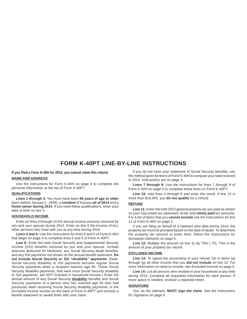### **FORM K-40PT LINE-BY-LINE INSTRUCTIONS**

**If you filed a Form K-40H for 2014, you cannot claim this refund.** 

#### **NAME AND ADDRESS**

Use the instructions for Form K-40H on page 4 to complete the personal information at the top of Form K-40PT.

#### **QUALIFICATIONS**

**Lines 1 through 3:** You must have been **65 years of age or older**  (born before January 1, 1949), a **resident** of Kansas **all of 2014** and a **home owner during 2014**. If you meet these qualifications, enter your date of birth on line 3.

#### **HOUSEHOLD INCOME**

Enter on lines 4 through 10 the annual income amounts received by you and your spouse during 2014. Enter on line 9 the income of ALL other persons who lived with you at any time during 2014.

**Lines 4 and 5:** Use the instructions for lines 4 and 5 of Form K-40H that begin on page 4 to complete lines 4 and 5 of Form K-40PT.

Line 6: Enter the total Social Security and Supplemental Security Income (SSI) benefits received by you and your spouse. Include amounts deducted for Medicare, any Social Security death benefits, and any SSI payments not shown on the annual benefit statement. **Do not include Social Security or SSI "disability" payments.** (Note: Social Security disability or SSI payments become regular Social Security payments when a recipient reaches age 65. These Social Security disability payments, that were once Social Security disability or SSI payments, are NOT included in household income.) Enter the annual amount of any Social Security **disability** benefits and Social Security payments of a person who has reached age 65 who had previously been receiving Social Security disability payments, in the *Excluded Income* section on the back of Form K-40PT and enclose a benefit statement or award letter with your claim.

If you do not have your statement of Social Security benefits, use the method given for line 6 of Form K-40H to compute your total received in 2014. Instructions are on page 4.

**Lines 7 through 9:** Use the instructions for lines 7 through 9 of Form K-40H on page 5 to complete these lines on Form K-40PT.

**Line 10:** Add lines 4 through 9 and enter the result. If line 10 is more than \$18,900, you **do not qualify** for a refund.

#### **REFUND**

**Line 11:** Enter the total 2014 general property tax you paid as shown on your real estate tax statement. Enter only **timely paid** tax amounts. For a list of items that you **cannot include** see the instructions for line 12 of Form K-40H on page 5.

If you are filing on behalf of a claimant who died during 2014, the property tax must be prorated based on the date of death. To determine the property tax amount to enter here, follow the instructions for deceased claimants on page 6.

**Line 12:** Multiply the amount on line 11 by 75% (.75). This is the amount of your property tax refund.

#### **EXCLUDED INCOME**

Line 13: To speed the processing of your refund, list in items (a) through (g) all other income that you **did not include** on line 10. For more information on what to include, see *Excluded Income* on page 5.

**Line 14:** List all persons who resided in your household at any time during 2014. Complete all requested information for each person. If more space is needed, enclose a separate sheet.

#### **SIGNATURE**

You, as the claimant, **MUST sign the claim**. See the instructions for *Signature* on page 6.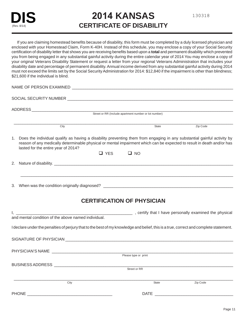## **2014 KANSAS CERTIFICATE OF DISABILITY**

#### If you are claiming homestead benefits because of disability, this form must be completed by a duly licensed physician and enclosed with your Homestead Claim, Form K-40H. Instead of this schedule, you may enclose a copy of your Social Security certification of disability letter that shows you are receiving benefits based upon a **total** and permanent disability which prevented you from being engaged in any substantial gainful activity during the entire calendar year of 2014 You may enclose a copy of your original Veterans Disability Statement or request a letter from your regional Veterans Administration that includes your disability date and percentage of permanent disability. Annual income derived from any substantial gainful activity during 2014 must not exceed the limits set by the Social Security Administration for 2014: \$12,840 if the impairment is other than blindness; \$21,600 if the individual is blind.

 $\Box$ NAME OF PERSON EXAMINED **Example 2008** SOCIAL SECURITY NUMBER \_\_\_\_\_\_\_\_\_\_\_\_\_\_\_\_\_\_\_\_\_\_\_\_\_\_\_\_\_\_\_\_\_\_\_\_\_\_\_\_\_\_\_\_\_\_\_\_\_\_\_\_\_\_\_\_\_\_\_\_\_\_\_\_\_\_\_\_\_\_\_\_\_\_ ADDRESS \_\_\_\_\_\_\_\_\_\_\_\_\_\_\_\_\_\_\_\_\_\_\_\_\_\_\_\_\_\_\_\_\_\_\_\_\_\_\_\_\_\_\_\_\_\_\_\_\_\_\_\_\_\_\_\_\_\_\_\_\_\_\_\_\_\_\_\_\_\_\_\_\_\_\_\_\_\_\_\_\_\_\_\_\_\_\_\_\_\_ Street or RR (Include apartment number or lot number) City **State** 2. The Code of the Code of the Code of the State 2. The Code of the Code of the Code of the Code of the Code of the Code of the Code of the Code of the Code of the Code of the Code of the Code of the Code of t 1. Does the individual qualify as having a disability preventing them from engaging in any substantial gainful activity by reason of any medically determinable physical or mental impairment which can be expected to result in death and/or has lasted for the entire year of 2014?  $\Box$  YES  $\Box$  NO

2. Nature of disability. \_\_\_\_\_\_\_\_\_\_\_\_\_\_\_\_\_\_\_\_\_\_\_\_\_\_\_\_\_\_\_\_\_\_\_\_\_\_\_\_\_\_\_\_\_\_\_\_\_\_\_\_\_\_\_\_\_\_\_\_\_\_\_\_\_\_\_\_\_\_\_\_\_\_\_\_\_\_\_\_

3. When was the condition originally diagnosed? \_\_\_\_\_\_\_\_\_\_\_\_\_\_\_\_\_\_\_\_\_\_\_\_\_\_\_\_\_\_\_\_

### **CERTIFICATION OF PHYSICIAN**

\_\_\_\_\_\_\_\_\_\_\_\_\_\_\_\_\_\_\_\_\_\_\_\_\_\_\_\_\_\_\_\_\_\_\_\_\_\_\_\_\_\_\_\_\_\_\_\_\_\_\_\_\_\_\_\_\_\_\_\_\_\_\_\_\_\_\_\_\_\_\_\_\_\_\_\_\_\_\_\_\_\_\_\_\_\_\_\_\_\_\_\_\_\_\_

| and mental condition of the above named individual.                                                                                   |                          |  |  |  |
|---------------------------------------------------------------------------------------------------------------------------------------|--------------------------|--|--|--|
| I declare under the penalties of perjury that to the best of my knowledge and belief, this is a true, correct and complete statement. |                          |  |  |  |
|                                                                                                                                       |                          |  |  |  |
|                                                                                                                                       | Please type or print     |  |  |  |
| BUSINESS ADDRESS<br>Street or RR                                                                                                      |                          |  |  |  |
| City                                                                                                                                  | Zip Code<br><b>State</b> |  |  |  |
|                                                                                                                                       |                          |  |  |  |